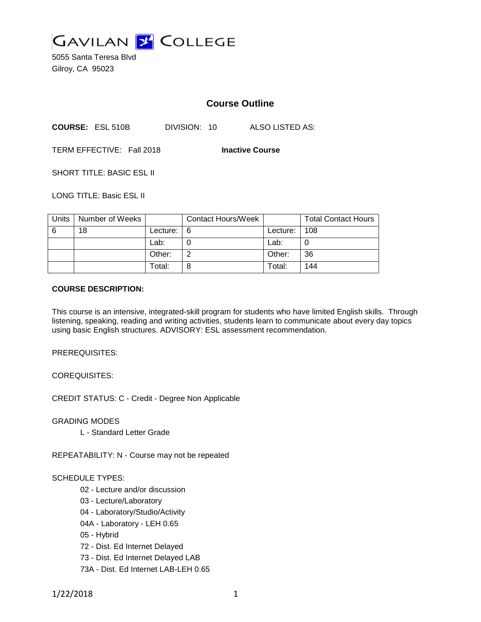

5055 Santa Teresa Blvd Gilroy, CA 95023

# **Course Outline**

**COURSE:** ESL 510B DIVISION: 10 ALSO LISTED AS:

TERM EFFECTIVE: Fall 2018 **Inactive Course**

SHORT TITLE: BASIC ESL II

LONG TITLE: Basic ESL II

| Units | Number of Weeks |          | <b>Contact Hours/Week</b> |            | <b>Total Contact Hours</b> |
|-------|-----------------|----------|---------------------------|------------|----------------------------|
| 6     | 18              | Lecture: | l 6                       | Lecture: I | 108                        |
|       |                 | Lab:     |                           | Lab:       |                            |
|       |                 | Other:   |                           | Other:     | 36                         |
|       |                 | Total:   |                           | Total:     | 144                        |

## **COURSE DESCRIPTION:**

This course is an intensive, integrated-skill program for students who have limited English skills. Through listening, speaking, reading and writing activities, students learn to communicate about every day topics using basic English structures. ADVISORY: ESL assessment recommendation.

PREREQUISITES:

COREQUISITES:

CREDIT STATUS: C - Credit - Degree Non Applicable

GRADING MODES

L - Standard Letter Grade

REPEATABILITY: N - Course may not be repeated

### SCHEDULE TYPES:

- 02 Lecture and/or discussion
- 03 Lecture/Laboratory
- 04 Laboratory/Studio/Activity
- 04A Laboratory LEH 0.65
- 05 Hybrid
- 72 Dist. Ed Internet Delayed
- 73 Dist. Ed Internet Delayed LAB
- 73A Dist. Ed Internet LAB-LEH 0.65

1/22/2018 1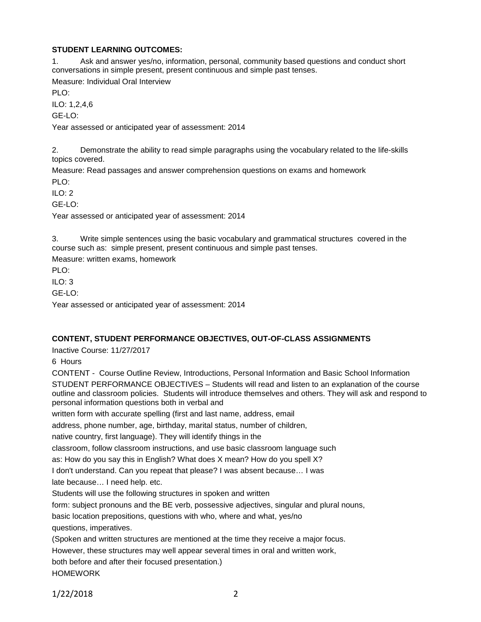## **STUDENT LEARNING OUTCOMES:**

1. Ask and answer yes/no, information, personal, community based questions and conduct short conversations in simple present, present continuous and simple past tenses.

Measure: Individual Oral Interview

PLO:

ILO: 1,2,4,6

GE-LO:

Year assessed or anticipated year of assessment: 2014

2. Demonstrate the ability to read simple paragraphs using the vocabulary related to the life-skills topics covered.

Measure: Read passages and answer comprehension questions on exams and homework

PLO:

ILO: 2

GE-LO:

Year assessed or anticipated year of assessment: 2014

3. Write simple sentences using the basic vocabulary and grammatical structures covered in the course such as: simple present, present continuous and simple past tenses.

Measure: written exams, homework

PLO:

ILO: 3

GE-LO:

Year assessed or anticipated year of assessment: 2014

## **CONTENT, STUDENT PERFORMANCE OBJECTIVES, OUT-OF-CLASS ASSIGNMENTS**

Inactive Course: 11/27/2017

6 Hours

CONTENT - Course Outline Review, Introductions, Personal Information and Basic School Information STUDENT PERFORMANCE OBJECTIVES – Students will read and listen to an explanation of the course outline and classroom policies. Students will introduce themselves and others. They will ask and respond to personal information questions both in verbal and

written form with accurate spelling (first and last name, address, email

address, phone number, age, birthday, marital status, number of children,

native country, first language). They will identify things in the

classroom, follow classroom instructions, and use basic classroom language such

as: How do you say this in English? What does X mean? How do you spell X?

I don't understand. Can you repeat that please? I was absent because… I was

late because… I need help. etc.

Students will use the following structures in spoken and written

form: subject pronouns and the BE verb, possessive adjectives, singular and plural nouns,

basic location prepositions, questions with who, where and what, yes/no

questions, imperatives.

(Spoken and written structures are mentioned at the time they receive a major focus.

However, these structures may well appear several times in oral and written work,

both before and after their focused presentation.)

HOMEWORK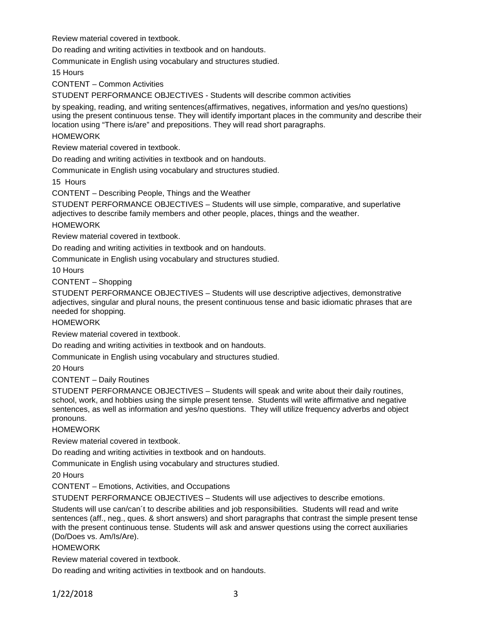Review material covered in textbook.

Do reading and writing activities in textbook and on handouts.

Communicate in English using vocabulary and structures studied.

15 Hours

CONTENT – Common Activities

STUDENT PERFORMANCE OBJECTIVES - Students will describe common activities

by speaking, reading, and writing sentences(affirmatives, negatives, information and yes/no questions) using the present continuous tense. They will identify important places in the community and describe their location using "There is/are" and prepositions. They will read short paragraphs.

## HOMEWORK

Review material covered in textbook.

Do reading and writing activities in textbook and on handouts.

Communicate in English using vocabulary and structures studied.

15 Hours

CONTENT – Describing People, Things and the Weather

STUDENT PERFORMANCE OBJECTIVES – Students will use simple, comparative, and superlative adjectives to describe family members and other people, places, things and the weather.

### HOMEWORK

Review material covered in textbook.

Do reading and writing activities in textbook and on handouts.

Communicate in English using vocabulary and structures studied.

10 Hours

CONTENT – Shopping

STUDENT PERFORMANCE OBJECTIVES – Students will use descriptive adjectives, demonstrative adjectives, singular and plural nouns, the present continuous tense and basic idiomatic phrases that are needed for shopping.

### HOMEWORK

Review material covered in textbook.

Do reading and writing activities in textbook and on handouts.

Communicate in English using vocabulary and structures studied.

20 Hours

## CONTENT – Daily Routines

STUDENT PERFORMANCE OBJECTIVES – Students will speak and write about their daily routines, school, work, and hobbies using the simple present tense. Students will write affirmative and negative sentences, as well as information and yes/no questions. They will utilize frequency adverbs and object pronouns.

### **HOMEWORK**

Review material covered in textbook.

Do reading and writing activities in textbook and on handouts.

Communicate in English using vocabulary and structures studied.

20 Hours

CONTENT – Emotions, Activities, and Occupations

STUDENT PERFORMANCE OBJECTIVES – Students will use adjectives to describe emotions.

Students will use can/can´t to describe abilities and job responsibilities. Students will read and write sentences (aff., neg., ques. & short answers) and short paragraphs that contrast the simple present tense with the present continuous tense. Students will ask and answer questions using the correct auxiliaries (Do/Does vs. Am/Is/Are).

### **HOMEWORK**

Review material covered in textbook.

Do reading and writing activities in textbook and on handouts.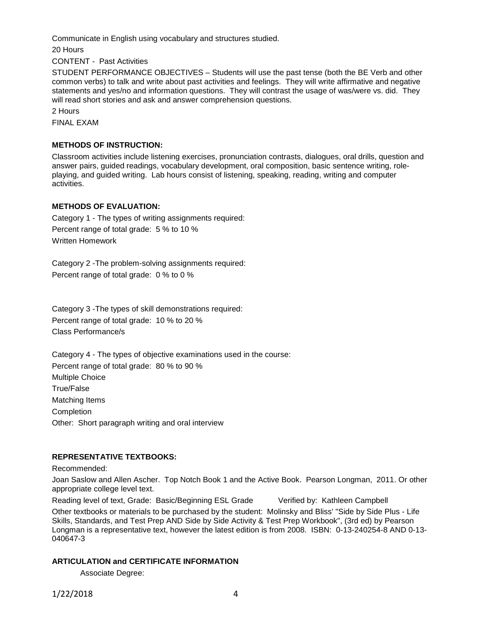Communicate in English using vocabulary and structures studied.

20 Hours

CONTENT - Past Activities

STUDENT PERFORMANCE OBJECTIVES – Students will use the past tense (both the BE Verb and other common verbs) to talk and write about past activities and feelings. They will write affirmative and negative statements and yes/no and information questions. They will contrast the usage of was/were vs. did. They will read short stories and ask and answer comprehension questions.

2 Hours

FINAL EXAM

## **METHODS OF INSTRUCTION:**

Classroom activities include listening exercises, pronunciation contrasts, dialogues, oral drills, question and answer pairs, guided readings, vocabulary development, oral composition, basic sentence writing, roleplaying, and guided writing. Lab hours consist of listening, speaking, reading, writing and computer activities.

## **METHODS OF EVALUATION:**

Category 1 - The types of writing assignments required: Percent range of total grade: 5 % to 10 % Written Homework

Category 2 -The problem-solving assignments required: Percent range of total grade: 0 % to 0 %

Category 3 -The types of skill demonstrations required: Percent range of total grade: 10 % to 20 % Class Performance/s

Category 4 - The types of objective examinations used in the course: Percent range of total grade: 80 % to 90 % Multiple Choice True/False Matching Items Completion Other: Short paragraph writing and oral interview

## **REPRESENTATIVE TEXTBOOKS:**

Recommended:

Joan Saslow and Allen Ascher. Top Notch Book 1 and the Active Book. Pearson Longman, 2011. Or other appropriate college level text.

Reading level of text, Grade: Basic/Beginning ESL Grade Verified by: Kathleen Campbell

Other textbooks or materials to be purchased by the student: Molinsky and Bliss' "Side by Side Plus - Life Skills, Standards, and Test Prep AND Side by Side Activity & Test Prep Workbook", (3rd ed) by Pearson Longman is a representative text, however the latest edition is from 2008. ISBN: 0-13-240254-8 AND 0-13- 040647-3

# **ARTICULATION and CERTIFICATE INFORMATION**

Associate Degree: